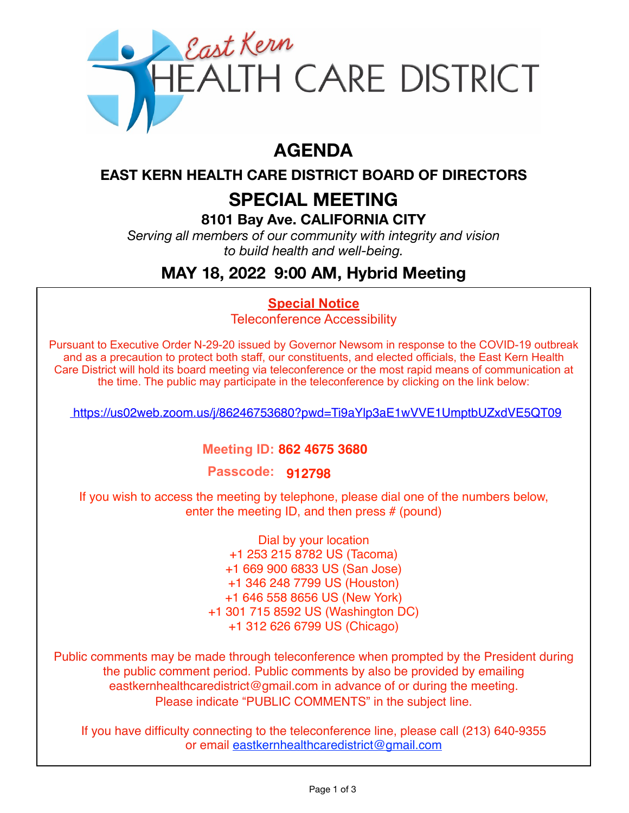

# **AGENDA**

### **EAST KERN HEALTH CARE DISTRICT BOARD OF DIRECTORS**

# **SPECIAL MEETING**

#### **8101 Bay Ave. CALIFORNIA CITY**

*Serving all members of our community with integrity and vision to build health and well-being.*

# **MAY 18, 2022 9:00 AM, Hybrid Meeting**

## **Special Notice**

Teleconference Accessibility

Pursuant to Executive Order N-29-20 issued by Governor Newsom in response to the COVID-19 outbreak and as a precaution to protect both staff, our constituents, and elected officials, the East Kern Health Care District will hold its board meeting via teleconference or the most rapid means of communication at the time. The public may participate in the teleconference by clicking on the link below:

<https://us02web.zoom.us/j/86246753680?pwd=Ti9aYlp3aE1wVVE1UmptbUZxdVE5QT09>

#### **Meeting ID: 862 4675 3680**

**Passcode: 912798**

If you wish to access the meeting by telephone, please dial one of the numbers below, enter the meeting ID, and then press # (pound)

> Dial by your location +1 253 215 8782 US (Tacoma) +1 669 900 6833 US (San Jose) +1 346 248 7799 US (Houston) +1 646 558 8656 US (New York) +1 301 715 8592 US (Washington DC) +1 312 626 6799 US (Chicago)

Public comments may be made through teleconference when prompted by the President during the public comment period. Public comments by also be provided by emailing eastkernhealthcaredistrict@gmail.com in advance of or during the meeting. Please indicate "PUBLIC COMMENTS" in the subject line.

If you have difficulty connecting to the teleconference line, please call (213) 640-9355 or email eastkernhealthcaredistrict@gmail.com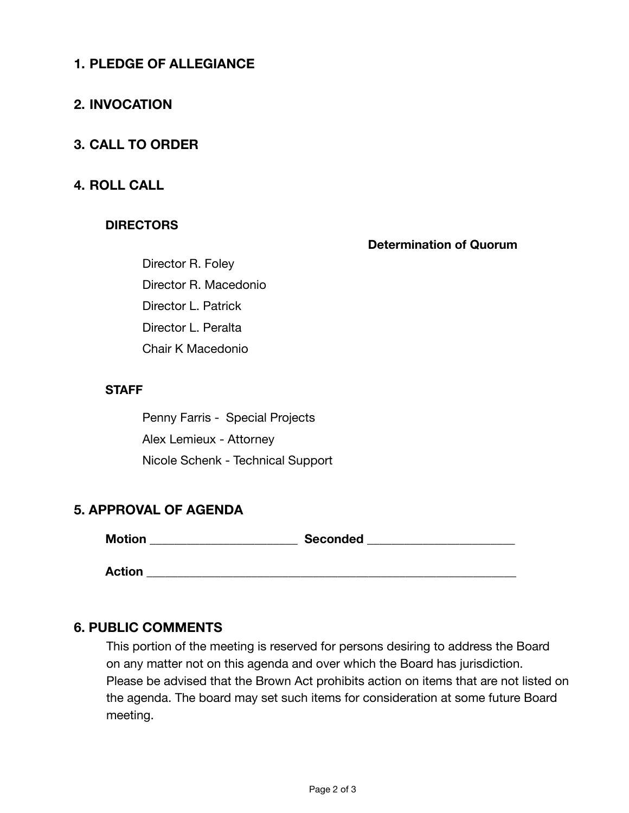### **1. PLEDGE OF ALLEGIANCE**

#### **2. INVOCATION**

#### **3. CALL TO ORDER**

#### **4. ROLL CALL**

#### **DIRECTORS**

**Determination of Quorum** 

Director R. Foley Director R. Macedonio Director L. Patrick Director L. Peralta Chair K Macedonio

#### **STAFF**

Penny Farris - Special Projects Alex Lemieux - Attorney Nicole Schenk - Technical Support

#### **5. APPROVAL OF AGENDA**

**Motion \_\_\_\_\_\_\_\_\_\_\_\_\_\_\_\_\_\_\_\_\_\_\_\_ Seconded \_\_\_\_\_\_\_\_\_\_\_\_\_\_\_\_\_\_\_\_\_\_\_\_** 

 $Action$   $\blacksquare$ 

#### **6. PUBLIC COMMENTS**

This portion of the meeting is reserved for persons desiring to address the Board on any matter not on this agenda and over which the Board has jurisdiction. Please be advised that the Brown Act prohibits action on items that are not listed on the agenda. The board may set such items for consideration at some future Board meeting.